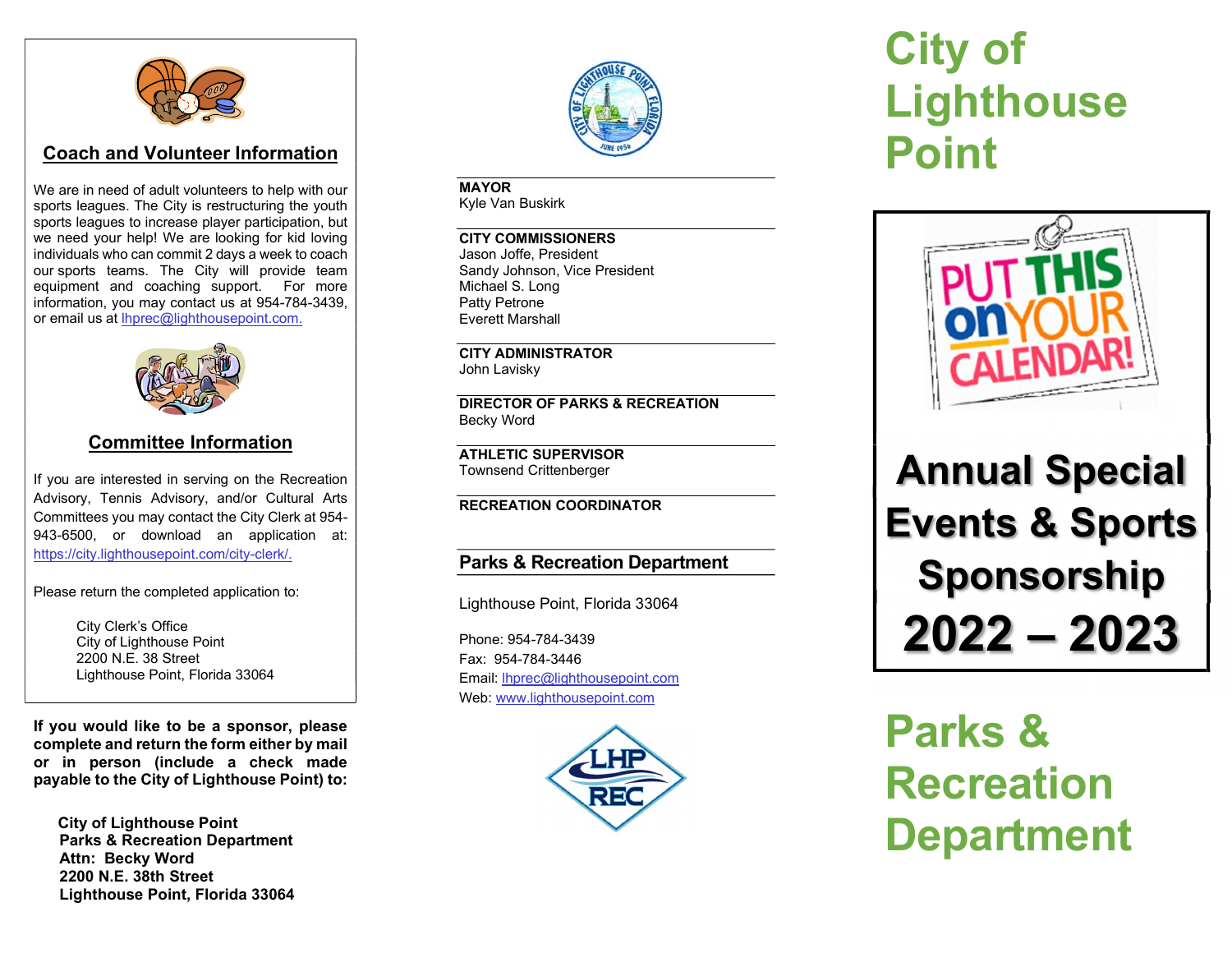

## Coach and Volunteer Information

We are in need of adult volunteers to help with our sports leagues. The City is restructuring the youth sports leagues to increase player participation, but we need your help! We are looking for kid loving individuals who can commit 2 days a week to coach our sports teams. The City will provide team equipment and coaching support. For more information, you may contact us at 954-784-3439, or email us at lhprec@lighthousepoint.com.



## Committee Information

If you are interested in serving on the Recreation Advisory, Tennis Advisory, and/or Cultural Arts Committees you may contact the City Clerk at 954- 943-6500, or download an application at: https://city.lighthousepoint.com/city-clerk/.

Please return the completed application to:

 City Clerk's Office City of Lighthouse Point 2200 N.E. 38 Street Lighthouse Point, Florida 33064

If you would like to be a sponsor, please complete and return the form either by mail or in person (include a check made payable to the City of Lighthouse Point) to:

 City of Lighthouse Point Parks & Recreation Department Attn: Becky Word 2200 N.E. 38th Street Lighthouse Point, Florida 33064



MAYOR Kyle Van Buskirk

CITY COMMISSIONERS Jason Joffe, President Sandy Johnson, Vice President Michael S. Long Patty Petrone Everett Marshall

CITY ADMINISTRATOR John Lavisky

DIRECTOR OF PARKS & RECREATION Becky Word

ATHLETIC SUPERVISOR Townsend Crittenberger

#### RECREATION COORDINATOR

### Parks & Recreation Department

Lighthouse Point, Florida 33064

Phone: 954-784-3439 Fax: 954-784-3446 Email: lhprec@lighthousepoint.com Web: www.lighthousepoint.com



# City of **Lighthouse** Point



# Annual Special Events & Sports Sponsorship 2022 – 2023

Parks & **Recreation** Department